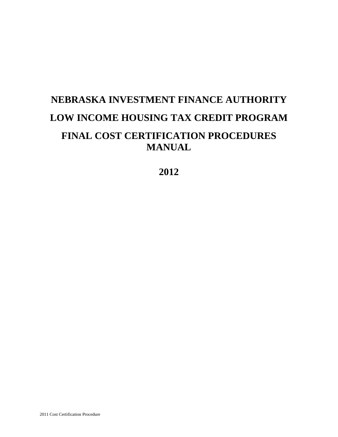# **NEBRASKA INVESTMENT FINANCE AUTHORITY LOW INCOME HOUSING TAX CREDIT PROGRAM FINAL COST CERTIFICATION PROCEDURES MANUAL**

**2012**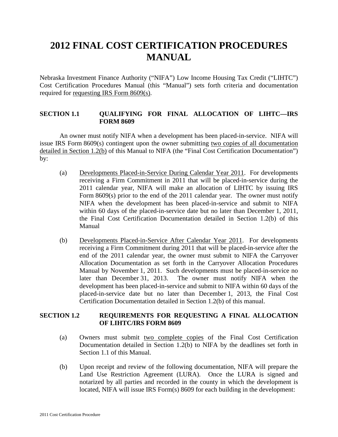# **2012 FINAL COST CERTIFICATION PROCEDURES MANUAL**

Nebraska Investment Finance Authority ("NIFA") Low Income Housing Tax Credit ("LIHTC") Cost Certification Procedures Manual (this "Manual") sets forth criteria and documentation required for requesting IRS Form 8609(s).

# **SECTION 1.1 QUALIFYING FOR FINAL ALLOCATION OF LIHTC—IRS FORM 8609**

An owner must notify NIFA when a development has been placed-in-service. NIFA will issue IRS Form 8609(s) contingent upon the owner submitting two copies of all documentation detailed in Section 1.2(b) of this Manual to NIFA (the "Final Cost Certification Documentation") by:

- (a) Developments Placed-in-Service During Calendar Year 2011. For developments receiving a Firm Commitment in 2011 that will be placed-in-service during the 2011 calendar year, NIFA will make an allocation of LIHTC by issuing IRS Form 8609(s) prior to the end of the 2011 calendar year. The owner must notify NIFA when the development has been placed-in-service and submit to NIFA within 60 days of the placed-in-service date but no later than December 1, 2011, the Final Cost Certification Documentation detailed in Section 1.2(b) of this Manual
- (b) Developments Placed-in-Service After Calendar Year 2011. For developments receiving a Firm Commitment during 2011 that will be placed-in-service after the end of the 2011 calendar year, the owner must submit to NIFA the Carryover Allocation Documentation as set forth in the Carryover Allocation Procedures Manual by November 1, 2011. Such developments must be placed-in-service no later than December 31, 2013. The owner must notify NIFA when the development has been placed-in-service and submit to NIFA within 60 days of the placed-in-service date but no later than December 1, 2013, the Final Cost Certification Documentation detailed in Section 1.2(b) of this manual.

# **SECTION 1.2 REQUIREMENTS FOR REQUESTING A FINAL ALLOCATION OF LIHTC/IRS FORM 8609**

- (a) Owners must submit two complete copies of the Final Cost Certification Documentation detailed in Section 1.2(b) to NIFA by the deadlines set forth in Section 1.1 of this Manual.
- (b) Upon receipt and review of the following documentation, NIFA will prepare the Land Use Restriction Agreement (LURA). Once the LURA is signed and notarized by all parties and recorded in the county in which the development is located, NIFA will issue IRS Form(s) 8609 for each building in the development: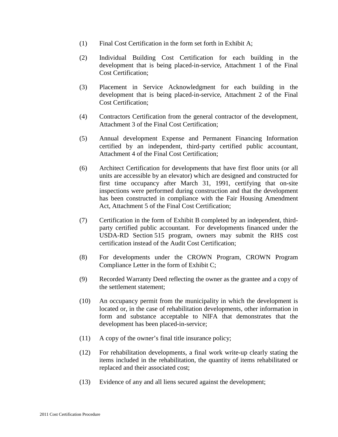- (1) Final Cost Certification in the form set forth in Exhibit A;
- (2) Individual Building Cost Certification for each building in the development that is being placed-in-service, Attachment 1 of the Final Cost Certification;
- (3) Placement in Service Acknowledgment for each building in the development that is being placed-in-service, Attachment 2 of the Final Cost Certification;
- (4) Contractors Certification from the general contractor of the development, Attachment 3 of the Final Cost Certification;
- (5) Annual development Expense and Permanent Financing Information certified by an independent, third-party certified public accountant, Attachment 4 of the Final Cost Certification;
- (6) Architect Certification for developments that have first floor units (or all units are accessible by an elevator) which are designed and constructed for first time occupancy after March 31, 1991, certifying that on-site inspections were performed during construction and that the development has been constructed in compliance with the Fair Housing Amendment Act, Attachment 5 of the Final Cost Certification;
- (7) Certification in the form of Exhibit B completed by an independent, thirdparty certified public accountant. For developments financed under the USDA-RD Section 515 program, owners may submit the RHS cost certification instead of the Audit Cost Certification;
- (8) For developments under the CROWN Program, CROWN Program Compliance Letter in the form of Exhibit C;
- (9) Recorded Warranty Deed reflecting the owner as the grantee and a copy of the settlement statement;
- (10) An occupancy permit from the municipality in which the development is located or, in the case of rehabilitation developments, other information in form and substance acceptable to NIFA that demonstrates that the development has been placed-in-service;
- (11) A copy of the owner's final title insurance policy;
- (12) For rehabilitation developments, a final work write-up clearly stating the items included in the rehabilitation, the quantity of items rehabilitated or replaced and their associated cost;
- (13) Evidence of any and all liens secured against the development;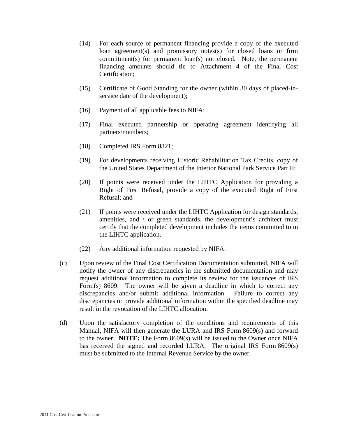- (14) For each source of permanent financing provide a copy of the executed loan agreement(s) and promissory notes(s) for closed loans or firm commitment(s) for permanent loan(s) not closed. Note, the permanent financing amounts should tie to Attachment 4 of the Final Cost Certification;
- (15) Certificate of Good Standing for the owner (within 30 days of placed-inservice date of the development);
- (16) Payment of all applicable fees to NIFA;
- (17) Final executed partnership or operating agreement identifying all partners/members;
- (18) Completed IRS Form 8821;
- (19) For developments receiving Historic Rehabilitation Tax Credits, copy of the United States Department of the Interior National Park Service Part II;
- (20) If points were received under the LIHTC Application for providing a Right of First Refusal, provide a copy of the executed Right of First Refusal; and
- (21) If points were received under the LIHTC Application for design standards, amenities, and  $\langle$  or green standards, the development's architect must certify that the completed development includes the items committed to in the LIHTC application.
- (22) Any additional information requested by NIFA.
- (c) Upon review of the Final Cost Certification Documentation submitted, NIFA will notify the owner of any discrepancies in the submitted documentation and may request additional information to complete its review for the issuances of IRS Form(s) 8609. The owner will be given a deadline in which to correct any discrepancies and/or submit additional information. Failure to correct any discrepancies or provide additional information within the specified deadline may result in the revocation of the LIHTC allocation.
- (d) Upon the satisfactory completion of the conditions and requirements of this Manual, NIFA will then generate the LURA and IRS Form 8609(s) and forward to the owner. **NOTE:** The Form 8609(s) will be issued to the Owner once NIFA has received the signed and recorded LURA. The original IRS Form 8609(s) must be submitted to the Internal Revenue Service by the owner.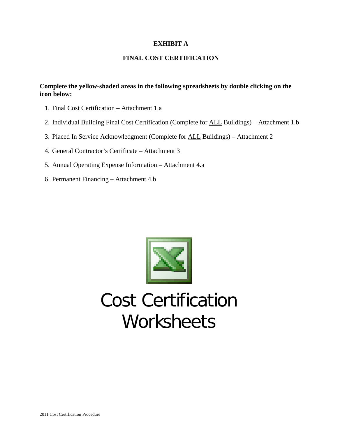# **EXHIBIT A**

# **FINAL COST CERTIFICATION**

# **Complete the yellow-shaded areas in the following spreadsheets by double clicking on the icon below:**

- 1. Final Cost Certification Attachment 1.a
- 2. Individual Building Final Cost Certification (Complete for ALL Buildings) Attachment 1.b
- 3. Placed In Service Acknowledgment (Complete for ALL Buildings) Attachment 2
- 4. General Contractor's Certificate Attachment 3
- 5. Annual Operating Expense Information Attachment 4.a
- 6. Permanent Financing Attachment 4.b



# Cost Certification **Worksheets**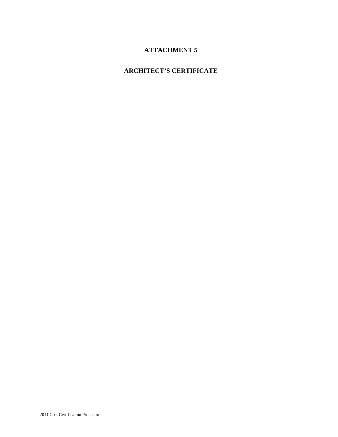# **ATTACHMENT 5**

# **ARCHITECT'S CERTIFICATE**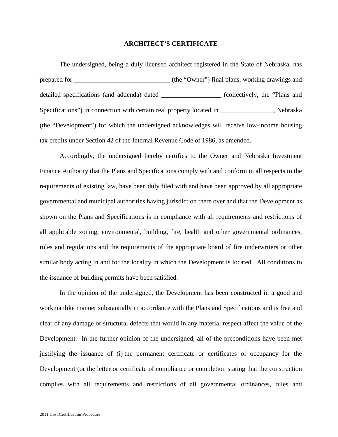#### **ARCHITECT'S CERTIFICATE**

The undersigned, being a duly licensed architect registered in the State of Nebraska, has prepared for \_\_\_\_\_\_\_\_\_\_\_\_\_\_\_\_\_\_\_\_\_\_\_\_\_\_\_\_\_ (the "Owner") final plans, working drawings and detailed specifications (and addenda) dated \_\_\_\_\_\_\_\_\_\_\_\_\_\_\_\_\_\_ (collectively, the "Plans and Specifications") in connection with certain real property located in \_\_\_\_\_\_\_\_\_\_\_\_\_, Nebraska (the "Development") for which the undersigned acknowledges will receive low-income housing tax credits under Section 42 of the Internal Revenue Code of 1986, as amended.

Accordingly, the undersigned hereby certifies to the Owner and Nebraska Investment Finance Authority that the Plans and Specifications comply with and conform in all respects to the requirements of existing law, have been duly filed with and have been approved by all appropriate governmental and municipal authorities having jurisdiction there over and that the Development as shown on the Plans and Specifications is in compliance with all requirements and restrictions of all applicable zoning, environmental, building, fire, health and other governmental ordinances, rules and regulations and the requirements of the appropriate board of fire underwriters or other similar body acting in and for the locality in which the Development is located. All conditions to the issuance of building permits have been satisfied.

In the opinion of the undersigned, the Development has been constructed in a good and workmanlike manner substantially in accordance with the Plans and Specifications and is free and clear of any damage or structural defects that would in any material respect affect the value of the Development. In the further opinion of the undersigned, all of the preconditions have been met justifying the issuance of (i) the permanent certificate or certificates of occupancy for the Development (or the letter or certificate of compliance or completion stating that the construction complies with all requirements and restrictions of all governmental ordinances, rules and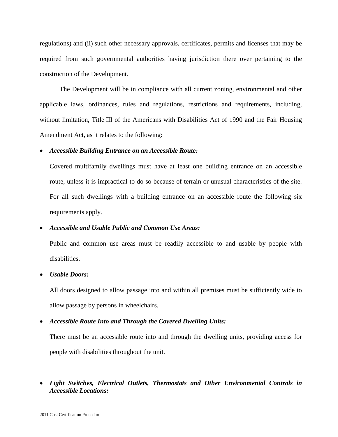regulations) and (ii) such other necessary approvals, certificates, permits and licenses that may be required from such governmental authorities having jurisdiction there over pertaining to the construction of the Development.

The Development will be in compliance with all current zoning, environmental and other applicable laws, ordinances, rules and regulations, restrictions and requirements, including, without limitation, Title III of the Americans with Disabilities Act of 1990 and the Fair Housing Amendment Act, as it relates to the following:

# • *Accessible Building Entrance on an Accessible Route:*

Covered multifamily dwellings must have at least one building entrance on an accessible route, unless it is impractical to do so because of terrain or unusual characteristics of the site. For all such dwellings with a building entrance on an accessible route the following six requirements apply.

# • *Accessible and Usable Public and Common Use Areas:*

Public and common use areas must be readily accessible to and usable by people with disabilities.

# • *Usable Doors:*

All doors designed to allow passage into and within all premises must be sufficiently wide to allow passage by persons in wheelchairs.

# • *Accessible Route Into and Through the Covered Dwelling Units:*

There must be an accessible route into and through the dwelling units, providing access for people with disabilities throughout the unit.

# • *Light Switches, Electrical Outlets, Thermostats and Other Environmental Controls in Accessible Locations:*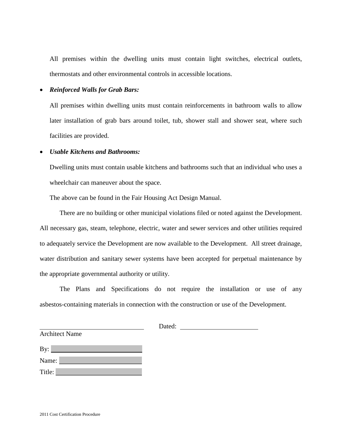All premises within the dwelling units must contain light switches, electrical outlets, thermostats and other environmental controls in accessible locations.

#### • *Reinforced Walls for Grab Bars:*

All premises within dwelling units must contain reinforcements in bathroom walls to allow later installation of grab bars around toilet, tub, shower stall and shower seat, where such facilities are provided.

# • *Usable Kitchens and Bathrooms:*

Dwelling units must contain usable kitchens and bathrooms such that an individual who uses a wheelchair can maneuver about the space.

The above can be found in the Fair Housing Act Design Manual.

There are no building or other municipal violations filed or noted against the Development. All necessary gas, steam, telephone, electric, water and sewer services and other utilities required to adequately service the Development are now available to the Development. All street drainage, water distribution and sanitary sewer systems have been accepted for perpetual maintenance by the appropriate governmental authority or utility.

The Plans and Specifications do not require the installation or use of any asbestos-containing materials in connection with the construction or use of the Development.

| By:    |
|--------|
| Name:  |
| Title: |

Architect Name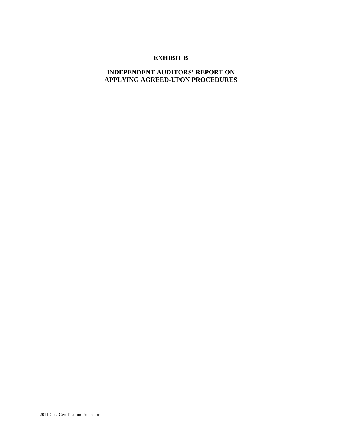# **EXHIBIT B**

# **INDEPENDENT AUDITORS' REPORT ON APPLYING AGREED-UPON PROCEDURES**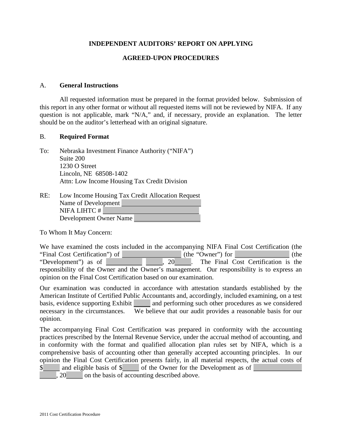# **INDEPENDENT AUDITORS' REPORT ON APPLYING**

# **AGREED-UPON PROCEDURES**

# A. **General Instructions**

All requested information must be prepared in the format provided below. Submission of this report in any other format or without all requested items will not be reviewed by NIFA. If any question is not applicable, mark "N/A," and, if necessary, provide an explanation. The letter should be on the auditor's letterhead with an original signature.

#### B. **Required Format**

To: Nebraska Investment Finance Authority ("NIFA") Suite 200 1230 O Street Lincoln, NE 68508-1402 Attn: Low Income Housing Tax Credit Division

| RE: | Low Income Housing Tax Credit Allocation Request |
|-----|--------------------------------------------------|
|     | Name of Development                              |
|     | NIFA LIHTC#                                      |
|     | Development Owner Name                           |

To Whom It May Concern:

We have examined the costs included in the accompanying NIFA Final Cost Certification (the "Final Cost Certification") of (the "Owner") for (the "Owner") for (the "Development") as of (the  $\frac{1}{20}$ ,  $\frac{1}{20}$ . The Final Cost Certification is the 1. The Final Cost Certification is the responsibility of the Owner and the Owner's management. Our responsibility is to express an opinion on the Final Cost Certification based on our examination.

Our examination was conducted in accordance with attestation standards established by the American Institute of Certified Public Accountants and, accordingly, included examining, on a test basis, evidence supporting Exhibit and performing such other procedures as we considered necessary in the circumstances. We believe that our audit provides a reasonable basis for our opinion.

The accompanying Final Cost Certification was prepared in conformity with the accounting practices prescribed by the Internal Revenue Service, under the accrual method of accounting, and in conformity with the format and qualified allocation plan rules set by NIFA, which is a comprehensive basis of accounting other than generally accepted accounting principles. In our opinion the Final Cost Certification presents fairly, in all material respects, the actual costs of \$ and eligible basis of \$ of the Owner for the Development as of 20 on the basis of accounting described above.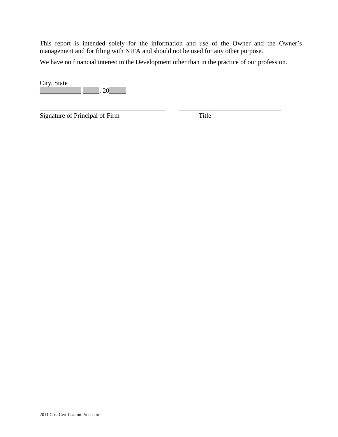This report is intended solely for the information and use of the Owner and the Owner's management and for filing with NIFA and should not be used for any other purpose.

We have no financial interest in the Development other than in the practice of our profession.

\_\_\_\_\_\_\_\_\_\_\_\_\_\_\_\_\_\_\_\_\_\_\_\_\_\_\_\_\_\_\_\_\_\_\_\_\_\_ \_\_\_\_\_\_\_\_\_\_\_\_\_\_\_\_\_\_\_\_\_\_\_\_\_\_\_\_\_\_\_

City, State  $, 20$ 

Signature of Principal of Firm Title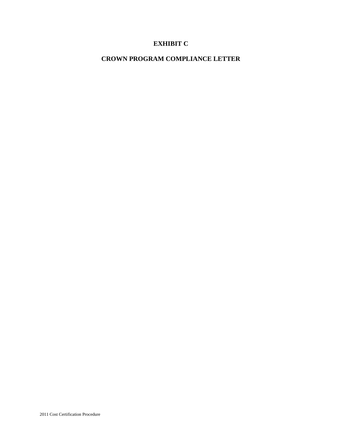# **EXHIBIT C**

# **CROWN PROGRAM COMPLIANCE LETTER**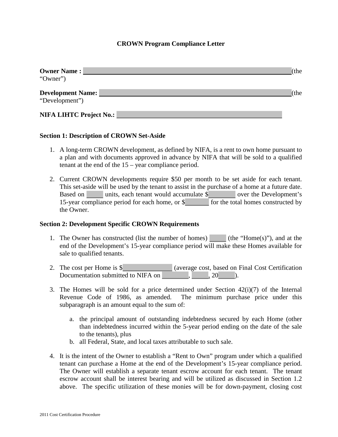# **CROWN Program Compliance Letter**

| <b>Owner Name:</b><br>"Owner")             | (the             |
|--------------------------------------------|------------------|
| <b>Development Name:</b><br>"Development") | the <sup>'</sup> |
| <b>NIFA LIHTC Project No.:</b>             |                  |

# **Section 1: Description of CROWN Set-Aside**

- 1. A long-term CROWN development, as defined by NIFA, is a rent to own home pursuant to a plan and with documents approved in advance by NIFA that will be sold to a qualified tenant at the end of the 15 – year compliance period.
- 2. Current CROWN developments require \$50 per month to be set aside for each tenant. This set-aside will be used by the tenant to assist in the purchase of a home at a future date. Based on units, each tenant would accumulate \$ over the Development's 15-year compliance period for each home, or \$ for the total homes constructed by the Owner.

#### **Section 2: Development Specific CROWN Requirements**

- 1. The Owner has constructed (list the number of homes) (the "Home(s)"), and at the end of the Development's 15-year compliance period will make these Homes available for sale to qualified tenants.
- 2. The cost per Home is \$ (average cost, based on Final Cost Certification Documentation submitted to NIFA on  $\sim$  ,  $\sim$  , 20  $\sim$  ).
- 3. The Homes will be sold for a price determined under Section  $42(i)(7)$  of the Internal Revenue Code of 1986, as amended. The minimum purchase price under this subparagraph is an amount equal to the sum of:
	- a. the principal amount of outstanding indebtedness secured by each Home (other than indebtedness incurred within the 5-year period ending on the date of the sale to the tenants), plus
	- b. all Federal, State, and local taxes attributable to such sale.
- 4. It is the intent of the Owner to establish a "Rent to Own" program under which a qualified tenant can purchase a Home at the end of the Development's 15-year compliance period. The Owner will establish a separate tenant escrow account for each tenant. The tenant escrow account shall be interest bearing and will be utilized as discussed in Section 1.2 above. The specific utilization of these monies will be for down-payment, closing cost